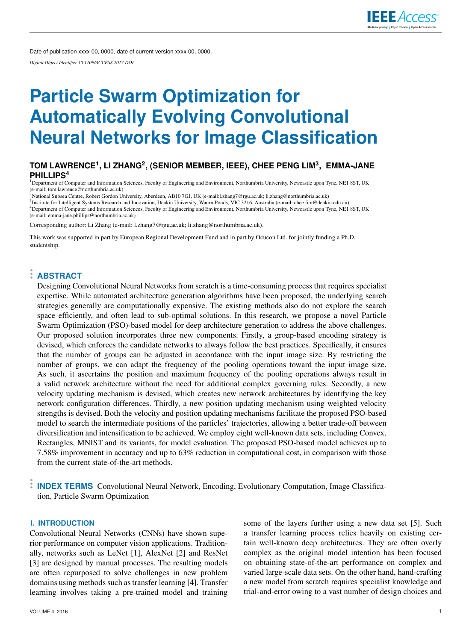Date of publication xxxx 00, 0000, date of current version xxxx 00, 0000.

*Digital Object Identifier 10.1109/ACCESS.2017.DOI*

# **Particle Swarm Optimization for Automatically Evolving Convolutional Neural Networks for Image Classification**

# **TOM LAWRENCE<sup>1</sup> , LI ZHANG<sup>2</sup> , (SENIOR MEMBER, IEEE), CHEE PENG LIM<sup>3</sup> , EMMA-JANE PHILLIPS<sup>4</sup>**

<sup>1</sup>Department of Computer and Information Sciences, Faculty of Engineering and Environment, Northumbria University, Newcastle upon Tyne, NE1 8ST, UK (e-mail: tom.lawrence@northumbria.ac.uk) <sup>2</sup>National Subsea Centre, Robert Gordon University, Aberdeen, AB10 7GJ, UK (e-mail:l.zhang7@rgu.ac.uk; li.zhang@northumbria.ac.uk)

3 Institute for Intelligent Systems Research and Innovation, Deakin University, Waurn Ponds, VIC 3216, Australia (e-mail: chee.lim@deakin.edu.au) <sup>4</sup>Department of Computer and Information Sciences, Faculty of Engineering and Environment, Northumbria University, Newcastle upon Tyne, NE1 8ST, UK (e-mail: emma-jane.phillips@northumbria.ac.uk)

Corresponding author: Li Zhang (e-mail: l.zhang7@rgu.ac.uk; li.zhang@northumbria.ac.uk).

This work was supported in part by European Regional Development Fund and in part by Ocucon Ltd. for jointly funding a Ph.D. studentship.

# **ABSTRACT**

Designing Convolutional Neural Networks from scratch is a time-consuming process that requires specialist expertise. While automated architecture generation algorithms have been proposed, the underlying search strategies generally are computationally expensive. The existing methods also do not explore the search space efficiently, and often lead to sub-optimal solutions. In this research, we propose a novel Particle Swarm Optimization (PSO)-based model for deep architecture generation to address the above challenges. Our proposed solution incorporates three new components. Firstly, a group-based encoding strategy is devised, which enforces the candidate networks to always follow the best practices. Specifically, it ensures that the number of groups can be adjusted in accordance with the input image size. By restricting the number of groups, we can adapt the frequency of the pooling operations toward the input image size. As such, it ascertains the position and maximum frequency of the pooling operations always result in a valid network architecture without the need for additional complex governing rules. Secondly, a new velocity updating mechanism is devised, which creates new network architectures by identifying the key network configuration differences. Thirdly, a new position updating mechanism using weighted velocity strengths is devised. Both the velocity and position updating mechanisms facilitate the proposed PSO-based model to search the intermediate positions of the particles' trajectories, allowing a better trade-off between diversification and intensification to be achieved. We employ eight well-known data sets, including Convex, Rectangles, MNIST and its variants, for model evaluation. The proposed PSO-based model achieves up to 7.58% improvement in accuracy and up to 63% reduction in computational cost, in comparison with those from the current state-of-the-art methods.

**INDEX TERMS** Convolutional Neural Network, Encoding, Evolutionary Computation, Image Classification, Particle Swarm Optimization

# **I. INTRODUCTION**

Convolutional Neural Networks (CNNs) have shown superior performance on computer vision applications. Traditionally, networks such as LeNet [1], AlexNet [2] and ResNet [3] are designed by manual processes. The resulting models are often repurposed to solve challenges in new problem domains using methods such as transfer learning [4]. Transfer learning involves taking a pre-trained model and training some of the layers further using a new data set [5]. Such a transfer learning process relies heavily on existing certain well-known deep architectures. They are often overly complex as the original model intention has been focused on obtaining state-of-the-art performance on complex and varied large-scale data sets. On the other hand, hand-crafting a new model from scratch requires specialist knowledge and trial-and-error owing to a vast number of design choices and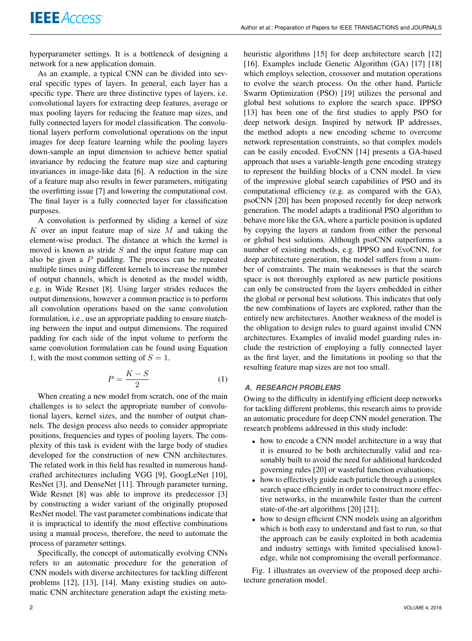hyperparameter settings. It is a bottleneck of designing a network for a new application domain.

As an example, a typical CNN can be divided into several specific types of layers. In general, each layer has a specific type. There are three distinctive types of layers, i.e. convolutional layers for extracting deep features, average or max pooling layers for reducing the feature map sizes, and fully connected layers for model classification. The convolutional layers perform convolutional operations on the input images for deep feature learning while the pooling layers down-sample an input dimension to achieve better spatial invariance by reducing the feature map size and capturing invariances in image-like data [6]. A reduction in the size of a feature map also results in fewer parameters, mitigating the overfitting issue [7] and lowering the computational cost. The final layer is a fully connected layer for classification purposes.

A convolution is performed by sliding a kernel of size  $K$  over an input feature map of size  $M$  and taking the element-wise product. The distance at which the kernel is moved is known as stride  $S$  and the input feature map can also be given a  $P$  padding. The process can be repeated multiple times using different kernels to increase the number of output channels, which is denoted as the model width, e.g. in Wide Resnet [8]. Using larger strides reduces the output dimensions, however a common practice is to perform all convolution operations based on the same convolution formulation, i.e., use an appropriate padding to ensure matching between the input and output dimensions. The required padding for each side of the input volume to perform the same convolution formulation can be found using Equation 1, with the most common setting of  $S = 1$ .

$$
P = \frac{K - S}{2} \tag{1}
$$

When creating a new model from scratch, one of the main challenges is to select the appropriate number of convolutional layers, kernel sizes, and the number of output channels. The design process also needs to consider appropriate positions, frequencies and types of pooling layers. The complexity of this task is evident with the large body of studies developed for the construction of new CNN architectures. The related work in this field has resulted in numerous handcrafted architectures including VGG [9], GoogLeNet [10], ResNet [3], and DenseNet [11]. Through parameter turning, Wide Resnet [8] was able to improve its predecessor [3] by constructing a wider variant of the originally proposed ResNet model. The vast parameter combinations indicate that it is impractical to identify the most effective combinations using a manual process, therefore, the need to automate the process of parameter settings.

Specifically, the concept of automatically evolving CNNs refers to an automatic procedure for the generation of CNN models with diverse architectures for tackling different problems [12], [13], [14]. Many existing studies on automatic CNN architecture generation adapt the existing metaheuristic algorithms [15] for deep architecture search [12] [16]. Examples include Genetic Algorithm (GA) [17] [18] which employs selection, crossover and mutation operations to evolve the search process. On the other hand, Particle Swarm Optimization (PSO) [19] utilizes the personal and global best solutions to explore the search space. IPPSO [13] has been one of the first studies to apply PSO for deep network design. Inspired by network IP addresses, the method adopts a new encoding scheme to overcome network representation constraints, so that complex models can be easily encoded. EvoCNN [14] presents a GA-based approach that uses a variable-length gene encoding strategy to represent the building blocks of a CNN model. In view of the impressive global search capabilities of PSO and its computational efficiency (e.g. as compared with the GA), psoCNN [20] has been proposed recently for deep network generation. The model adapts a traditional PSO algorithm to behave more like the GA, where a particle position is updated by copying the layers at random from either the personal or global best solutions. Although psoCNN outperforms a number of existing methods, e.g. IPPSO and EvoCNN, for deep architecture generation, the model suffers from a number of constraints. The main weaknesses is that the search space is not thoroughly explored as new particle positions can only be constructed from the layers embedded in either the global or personal best solutions. This indicates that only the new combinations of layers are explored, rather than the entirely new architectures. Another weakness of the model is the obligation to design rules to guard against invalid CNN architectures. Examples of invalid model guarding rules include the restriction of employing a fully connected layer as the first layer, and the limitations in pooling so that the resulting feature map sizes are not too small.

# *A. RESEARCH PROBLEMS*

Owing to the difficulty in identifying efficient deep networks for tackling different problems, this research aims to provide an automatic procedure for deep CNN model generation. The research problems addressed in this study include:

- how to encode a CNN model architecture in a way that it is ensured to be both architecturally valid and reasonably built to avoid the need for additional hardcoded governing rules [20] or wasteful function evaluations;
- how to effectively guide each particle through a complex search space efficiently in order to construct more effective networks, in the meanwhile faster than the current state-of-the-art algorithms [20] [21];
- how to design efficient CNN models using an algorithm which is both easy to understand and fast to run, so that the approach can be easily exploited in both academia and industry settings with limited specialised knowledge, while not compromising the overall performance.

Fig. 1 illustrates an overview of the proposed deep architecture generation model.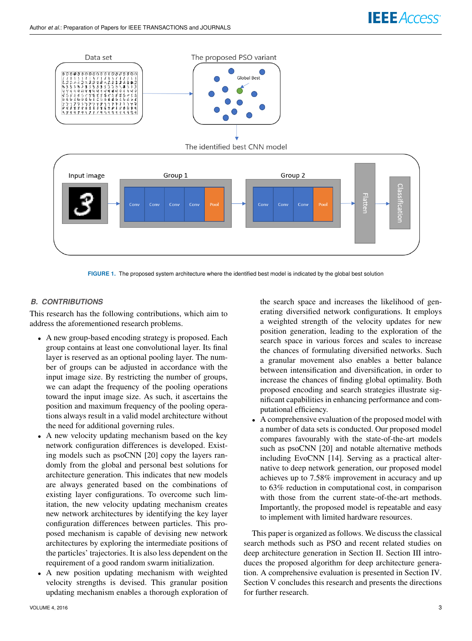

**FIGURE 1.** The proposed system architecture where the identified best model is indicated by the global best solution

# *B. CONTRIBUTIONS*

This research has the following contributions, which aim to address the aforementioned research problems.

- A new group-based encoding strategy is proposed. Each group contains at least one convolutional layer. Its final layer is reserved as an optional pooling layer. The number of groups can be adjusted in accordance with the input image size. By restricting the number of groups, we can adapt the frequency of the pooling operations toward the input image size. As such, it ascertains the position and maximum frequency of the pooling operations always result in a valid model architecture without the need for additional governing rules.
- A new velocity updating mechanism based on the key network configuration differences is developed. Existing models such as psoCNN [20] copy the layers randomly from the global and personal best solutions for architecture generation. This indicates that new models are always generated based on the combinations of existing layer configurations. To overcome such limitation, the new velocity updating mechanism creates new network architectures by identifying the key layer configuration differences between particles. This proposed mechanism is capable of devising new network architectures by exploring the intermediate positions of the particles' trajectories. It is also less dependent on the requirement of a good random swarm initialization.
- A new position updating mechanism with weighted velocity strengths is devised. This granular position updating mechanism enables a thorough exploration of

the search space and increases the likelihood of generating diversified network configurations. It employs a weighted strength of the velocity updates for new position generation, leading to the exploration of the search space in various forces and scales to increase the chances of formulating diversified networks. Such a granular movement also enables a better balance between intensification and diversification, in order to increase the chances of finding global optimality. Both proposed encoding and search strategies illustrate significant capabilities in enhancing performance and computational efficiency.

• A comprehensive evaluation of the proposed model with a number of data sets is conducted. Our proposed model compares favourably with the state-of-the-art models such as psoCNN [20] and notable alternative methods including EvoCNN [14]. Serving as a practical alternative to deep network generation, our proposed model achieves up to 7.58% improvement in accuracy and up to 63% reduction in computational cost, in comparison with those from the current state-of-the-art methods. Importantly, the proposed model is repeatable and easy to implement with limited hardware resources.

This paper is organized as follows. We discuss the classical search methods such as PSO and recent related studies on deep architecture generation in Section II. Section III introduces the proposed algorithm for deep architecture generation. A comprehensive evaluation is presented in Section IV. Section V concludes this research and presents the directions for further research.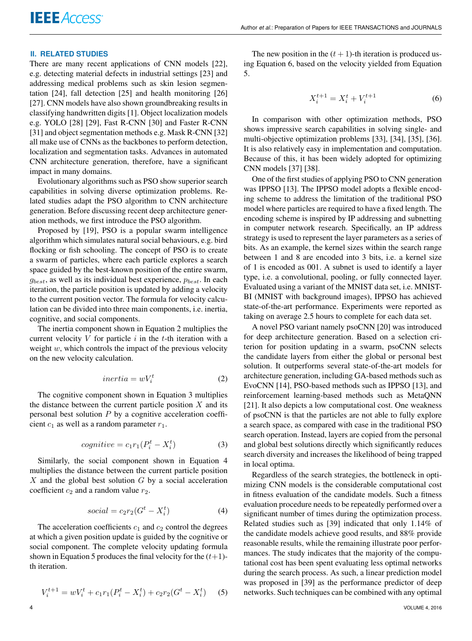## **II. RELATED STUDIES**

There are many recent applications of CNN models [22], e.g. detecting material defects in industrial settings [23] and addressing medical problems such as skin lesion segmentation [24], fall detection [25] and health monitoring [26] [27]. CNN models have also shown groundbreaking results in classifying handwritten digits [1]. Object localization models e.g. YOLO [28] [29], Fast R-CNN [30] and Faster R-CNN [31] and object segmentation methods e.g. Mask R-CNN [32] all make use of CNNs as the backbones to perform detection, localization and segmentation tasks. Advances in automated CNN architecture generation, therefore, have a significant impact in many domains.

Evolutionary algorithms such as PSO show superior search capabilities in solving diverse optimization problems. Related studies adapt the PSO algorithm to CNN architecture generation. Before discussing recent deep architecture generation methods, we first introduce the PSO algorithm.

Proposed by [19], PSO is a popular swarm intelligence algorithm which simulates natural social behaviours, e.g. bird flocking or fish schooling. The concept of PSO is to create a swarm of particles, where each particle explores a search space guided by the best-known position of the entire swarm,  $g_{best}$ , as well as its individual best experience,  $p_{best}$ . In each iteration, the particle position is updated by adding a velocity to the current position vector. The formula for velocity calculation can be divided into three main components, i.e. inertia, cognitive, and social components.

The inertia component shown in Equation 2 multiplies the current velocity  $V$  for particle  $i$  in the  $t$ -th iteration with a weight  $w$ , which controls the impact of the previous velocity on the new velocity calculation.

$$
inertia = wV_i^t \tag{2}
$$

The cognitive component shown in Equation 3 multiplies the distance between the current particle position  $X$  and its personal best solution  $P$  by a cognitive acceleration coefficient  $c_1$  as well as a random parameter  $r_1$ .

$$
cognitive = c_1 r_1 (P_i^t - X_i^t)
$$
\n(3)

Similarly, the social component shown in Equation 4 multiplies the distance between the current particle position  $X$  and the global best solution  $G$  by a social acceleration coefficient  $c_2$  and a random value  $r_2$ .

$$
social = c_2 r_2 (G^t - X_i^t) \tag{4}
$$

The acceleration coefficients  $c_1$  and  $c_2$  control the degrees at which a given position update is guided by the cognitive or social component. The complete velocity updating formula shown in Equation 5 produces the final velocity for the  $(t+1)$ th iteration.

$$
V_i^{t+1} = wV_i^t + c_1r_1(P_i^t - X_i^t) + c_2r_2(G^t - X_i^t)
$$
 (5)

The new position in the  $(t + 1)$ -th iteration is produced using Equation 6, based on the velocity yielded from Equation 5.

$$
X_i^{t+1} = X_i^t + V_i^{t+1}
$$
 (6)

In comparison with other optimization methods, PSO shows impressive search capabilities in solving single- and multi-objective optimization problems [33], [34], [35], [36]. It is also relatively easy in implementation and computation. Because of this, it has been widely adopted for optimizing CNN models [37] [38].

One of the first studies of applying PSO to CNN generation was IPPSO [13]. The IPPSO model adopts a flexible encoding scheme to address the limitation of the traditional PSO model where particles are required to have a fixed length. The encoding scheme is inspired by IP addressing and subnetting in computer network research. Specifically, an IP address strategy is used to represent the layer parameters as a series of bits. As an example, the kernel sizes within the search range between 1 and 8 are encoded into 3 bits, i.e. a kernel size of 1 is encoded as 001. A subnet is used to identify a layer type, i.e. a convolutional, pooling, or fully connected layer. Evaluated using a variant of the MNIST data set, i.e. MNIST-BI (MNIST with background images), IPPSO has achieved state-of-the-art performance. Experiments were reported as taking on average 2.5 hours to complete for each data set.

A novel PSO variant namely psoCNN [20] was introduced for deep architecture generation. Based on a selection criterion for position updating in a swarm, psoCNN selects the candidate layers from either the global or personal best solution. It outperforms several state-of-the-art models for architecture generation, including GA-based methods such as EvoCNN [14], PSO-based methods such as IPPSO [13], and reinforcement learning-based methods such as MetaQNN [21]. It also depicts a low computational cost. One weakness of psoCNN is that the particles are not able to fully explore a search space, as compared with case in the traditional PSO search operation. Instead, layers are copied from the personal and global best solutions directly which significantly reduces search diversity and increases the likelihood of being trapped in local optima.

Regardless of the search strategies, the bottleneck in optimizing CNN models is the considerable computational cost in fitness evaluation of the candidate models. Such a fitness evaluation procedure needs to be repeatedly performed over a significant number of times during the optimization process. Related studies such as [39] indicated that only 1.14% of the candidate models achieve good results, and 88% provide reasonable results, while the remaining illustrate poor performances. The study indicates that the majority of the computational cost has been spent evaluating less optimal networks during the search process. As such, a linear prediction model was proposed in [39] as the performance predictor of deep networks. Such techniques can be combined with any optimal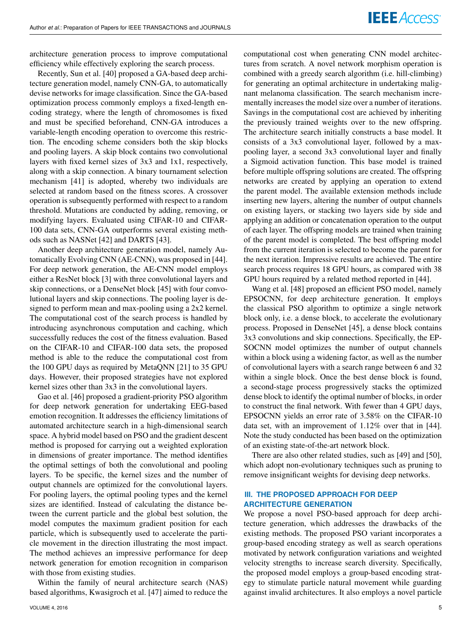architecture generation process to improve computational efficiency while effectively exploring the search process.

Recently, Sun et al. [40] proposed a GA-based deep architecture generation model, namely CNN-GA, to automatically devise networks for image classification. Since the GA-based optimization process commonly employs a fixed-length encoding strategy, where the length of chromosomes is fixed and must be specified beforehand, CNN-GA introduces a variable-length encoding operation to overcome this restriction. The encoding scheme considers both the skip blocks and pooling layers. A skip block contains two convolutional layers with fixed kernel sizes of 3x3 and 1x1, respectively, along with a skip connection. A binary tournament selection mechanism [41] is adopted, whereby two individuals are selected at random based on the fitness scores. A crossover operation is subsequently performed with respect to a random threshold. Mutations are conducted by adding, removing, or modifying layers. Evaluated using CIFAR-10 and CIFAR-100 data sets, CNN-GA outperforms several existing methods such as NASNet [42] and DARTS [43].

Another deep architecture generation model, namely Automatically Evolving CNN (AE-CNN), was proposed in [44]. For deep network generation, the AE-CNN model employs either a ResNet block [3] with three convolutional layers and skip connections, or a DenseNet block [45] with four convolutional layers and skip connections. The pooling layer is designed to perform mean and max-pooling using a 2x2 kernel. The computational cost of the search process is handled by introducing asynchronous computation and caching, which successfully reduces the cost of the fitness evaluation. Based on the CIFAR-10 and CIFAR-100 data sets, the proposed method is able to the reduce the computational cost from the 100 GPU days as required by MetaQNN [21] to 35 GPU days. However, their proposed strategies have not explored kernel sizes other than 3x3 in the convolutional layers.

Gao et al. [46] proposed a gradient-priority PSO algorithm for deep network generation for undertaking EEG-based emotion recognition. It addresses the efficiency limitations of automated architecture search in a high-dimensional search space. A hybrid model based on PSO and the gradient descent method is proposed for carrying out a weighted exploration in dimensions of greater importance. The method identifies the optimal settings of both the convolutional and pooling layers. To be specific, the kernel sizes and the number of output channels are optimized for the convolutional layers. For pooling layers, the optimal pooling types and the kernel sizes are identified. Instead of calculating the distance between the current particle and the global best solution, the model computes the maximum gradient position for each particle, which is subsequently used to accelerate the particle movement in the direction illustrating the most impact. The method achieves an impressive performance for deep network generation for emotion recognition in comparison with those from existing studies.

Within the family of neural architecture search (NAS) based algorithms, Kwasigroch et al. [47] aimed to reduce the

computational cost when generating CNN model architectures from scratch. A novel network morphism operation is combined with a greedy search algorithm (i.e. hill-climbing) for generating an optimal architecture in undertaking malignant melanoma classification. The search mechanism incrementally increases the model size over a number of iterations. Savings in the computational cost are achieved by inheriting the previously trained weights over to the new offspring. The architecture search initially constructs a base model. It consists of a 3x3 convolutional layer, followed by a maxpooling layer, a second 3x3 convolutional layer and finally a Sigmoid activation function. This base model is trained before multiple offspring solutions are created. The offspring networks are created by applying an operation to extend the parent model. The available extension methods include inserting new layers, altering the number of output channels on existing layers, or stacking two layers side by side and applying an addition or concatenation operation to the output of each layer. The offspring models are trained when training of the parent model is completed. The best offspring model from the current iteration is selected to become the parent for the next iteration. Impressive results are achieved. The entire search process requires 18 GPU hours, as compared with 38 GPU hours required by a related method reported in [44].

Wang et al. [48] proposed an efficient PSO model, namely EPSOCNN, for deep architecture generation. It employs the classical PSO algorithm to optimize a single network block only, i.e. a dense block, to accelerate the evolutionary process. Proposed in DenseNet [45], a dense block contains 3x3 convolutions and skip connections. Specifically, the EP-SOCNN model optimizes the number of output channels within a block using a widening factor, as well as the number of convolutional layers with a search range between 6 and 32 within a single block. Once the best dense block is found, a second-stage process progressively stacks the optimized dense block to identify the optimal number of blocks, in order to construct the final network. With fewer than 4 GPU days, EPSOCNN yields an error rate of 3.58% on the CIFAR-10 data set, with an improvement of 1.12% over that in [44]. Note the study conducted has been based on the optimization of an existing state-of-the-art network block.

There are also other related studies, such as [49] and [50], which adopt non-evolutionary techniques such as pruning to remove insignificant weights for devising deep networks.

# **III. THE PROPOSED APPROACH FOR DEEP ARCHITECTURE GENERATION**

We propose a novel PSO-based approach for deep architecture generation, which addresses the drawbacks of the existing methods. The proposed PSO variant incorporates a group-based encoding strategy as well as search operations motivated by network configuration variations and weighted velocity strengths to increase search diversity. Specifically, the proposed model employs a group-based encoding strategy to stimulate particle natural movement while guarding against invalid architectures. It also employs a novel particle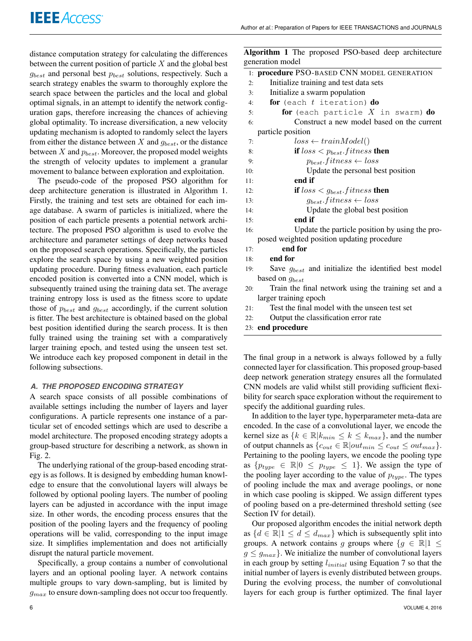distance computation strategy for calculating the differences between the current position of particle  $X$  and the global best  $g_{best}$  and personal best  $p_{best}$  solutions, respectively. Such a search strategy enables the swarm to thoroughly explore the search space between the particles and the local and global optimal signals, in an attempt to identify the network configuration gaps, therefore increasing the chances of achieving global optimality. To increase diversification, a new velocity updating mechanism is adopted to randomly select the layers from either the distance between X and  $g_{best}$ , or the distance between  $X$  and  $p_{best}$ . Moreover, the proposed model weights the strength of velocity updates to implement a granular movement to balance between exploration and exploitation.

The pseudo-code of the proposed PSO algorithm for deep architecture generation is illustrated in Algorithm 1. Firstly, the training and test sets are obtained for each image database. A swarm of particles is initialized, where the position of each particle presents a potential network architecture. The proposed PSO algorithm is used to evolve the architecture and parameter settings of deep networks based on the proposed search operations. Specifically, the particles explore the search space by using a new weighted position updating procedure. During fitness evaluation, each particle encoded position is converted into a CNN model, which is subsequently trained using the training data set. The average training entropy loss is used as the fitness score to update those of  $p_{best}$  and  $g_{best}$  accordingly, if the current solution is fitter. The best architecture is obtained based on the global best position identified during the search process. It is then fully trained using the training set with a comparatively larger training epoch, and tested using the unseen test set. We introduce each key proposed component in detail in the following subsections.

# *A. THE PROPOSED ENCODING STRATEGY*

A search space consists of all possible combinations of available settings including the number of layers and layer configurations. A particle represents one instance of a particular set of encoded settings which are used to describe a model architecture. The proposed encoding strategy adopts a group-based structure for describing a network, as shown in Fig. 2.

The underlying rational of the group-based encoding strategy is as follows. It is designed by embedding human knowledge to ensure that the convolutional layers will always be followed by optional pooling layers. The number of pooling layers can be adjusted in accordance with the input image size. In other words, the encoding process ensures that the position of the pooling layers and the frequency of pooling operations will be valid, corresponding to the input image size. It simplifies implementation and does not artificially disrupt the natural particle movement.

Specifically, a group contains a number of convolutional layers and an optional pooling layer. A network contains multiple groups to vary down-sampling, but is limited by  $g_{max}$  to ensure down-sampling does not occur too frequently. Algorithm 1 The proposed PSO-based deep architecture generation model

|     | 1: procedure PSO-BASED CNN MODEL GENERATION              |
|-----|----------------------------------------------------------|
| 2:  | Initialize training and test data sets                   |
| 3:  | Initialize a swarm population                            |
| 4:  | for (each $t$ iteration) do                              |
| 5:  | for (each particle $X$ in swarm) do                      |
| 6:  | Construct a new model based on the current               |
|     | particle position                                        |
| 7:  | $loss \leftarrow trainModel()$                           |
| 8:  | if $loss < p_{best}.fitness$ then                        |
| 9:  | $p_{best}.fitness \leftarrow loss$                       |
| 10: | Update the personal best position                        |
| 11: | end if                                                   |
| 12: | if $loss < g_{best}.fitness$ then                        |
| 13: | $g_{best}.fitness \leftarrow loss$                       |
| 14: | Update the global best position                          |
| 15: | end if                                                   |
| 16: | Update the particle position by using the pro-           |
|     | posed weighted position updating procedure               |
| 17: | end for                                                  |
| 18: | end for                                                  |
| 19: | Save $g_{best}$ and initialize the identified best model |
|     | based on $g_{best}$                                      |
| 20: | Train the final network using the training set and a     |

- larger training epoch
- 21: Test the final model with the unseen test set
- 22: Output the classification error rate
- 23: end procedure

The final group in a network is always followed by a fully connected layer for classification. This proposed group-based deep network generation strategy ensures all the formulated CNN models are valid whilst still providing sufficient flexibility for search space exploration without the requirement to specify the additional guarding rules.

In addition to the layer type, hyperparameter meta-data are encoded. In the case of a convolutional layer, we encode the kernel size as  $\{k \in \mathbb{R} | k_{min} \leq k \leq k_{max} \}$ , and the number of output channels as  ${c_{out} \in \mathbb{R} | out_{min} \le c_{out} \le out_{max}}$ . Pertaining to the pooling layers, we encode the pooling type as  $\{p_{type} \in \mathbb{R} | 0 \leq p_{type} \leq 1\}$ . We assign the type of the pooling layer according to the value of  $p_{type}$ . The types of pooling include the max and average poolings, or none in which case pooling is skipped. We assign different types of pooling based on a pre-determined threshold setting (see Section IV for detail).

Our proposed algorithm encodes the initial network depth as  $\{d \in \mathbb{R} | 1 \leq d \leq d_{max}\}$  which is subsequently split into groups. A network contains g groups where  $\{g \in \mathbb{R} | 1 \leq \}$  $g \le g_{max}$ . We initialize the number of convolutional layers in each group by setting  $l_{initial}$  using Equation 7 so that the initial number of layers is evenly distributed between groups. During the evolving process, the number of convolutional layers for each group is further optimized. The final layer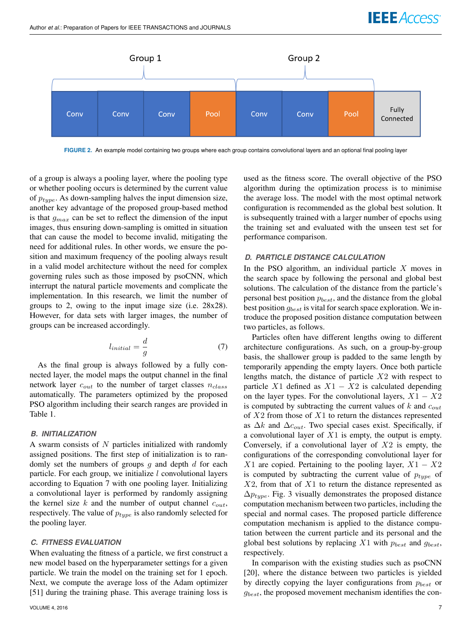

**FIGURE 2.** An example model containing two groups where each group contains convolutional layers and an optional final pooling layer

of a group is always a pooling layer, where the pooling type or whether pooling occurs is determined by the current value of  $p_{type}$ . As down-sampling halves the input dimension size, another key advantage of the proposed group-based method is that  $g_{max}$  can be set to reflect the dimension of the input images, thus ensuring down-sampling is omitted in situation that can cause the model to become invalid, mitigating the need for additional rules. In other words, we ensure the position and maximum frequency of the pooling always result in a valid model architecture without the need for complex governing rules such as those imposed by psoCNN, which interrupt the natural particle movements and complicate the implementation. In this research, we limit the number of groups to 2, owing to the input image size (i.e. 28x28). However, for data sets with larger images, the number of groups can be increased accordingly.

$$
l_{initial} = \frac{d}{g} \tag{7}
$$

As the final group is always followed by a fully connected layer, the model maps the output channel in the final network layer  $c_{out}$  to the number of target classes  $n_{class}$ automatically. The parameters optimized by the proposed PSO algorithm including their search ranges are provided in Table 1.

#### *B. INITIALIZATION*

A swarm consists of  $N$  particles initialized with randomly assigned positions. The first step of initialization is to randomly set the numbers of groups  $g$  and depth  $d$  for each particle. For each group, we initialize  $l$  convolutional layers according to Equation 7 with one pooling layer. Initializing a convolutional layer is performed by randomly assigning the kernel size k and the number of output channel  $c_{out}$ , respectively. The value of  $p_{type}$  is also randomly selected for the pooling layer.

#### *C. FITNESS EVALUATION*

When evaluating the fitness of a particle, we first construct a new model based on the hyperparameter settings for a given particle. We train the model on the training set for 1 epoch. Next, we compute the average loss of the Adam optimizer [51] during the training phase. This average training loss is used as the fitness score. The overall objective of the PSO algorithm during the optimization process is to minimise the average loss. The model with the most optimal network configuration is recommended as the global best solution. It is subsequently trained with a larger number of epochs using the training set and evaluated with the unseen test set for performance comparison.

#### *D. PARTICLE DISTANCE CALCULATION*

In the PSO algorithm, an individual particle  $X$  moves in the search space by following the personal and global best solutions. The calculation of the distance from the particle's personal best position  $p_{best}$ , and the distance from the global best position  $g_{best}$  is vital for search space exploration. We introduce the proposed position distance computation between two particles, as follows.

Particles often have different lengths owing to different architecture configurations. As such, on a group-by-group basis, the shallower group is padded to the same length by temporarily appending the empty layers. Once both particle lengths match, the distance of particle  $X2$  with respect to particle X1 defined as  $X1 - X2$  is calculated depending on the layer types. For the convolutional layers,  $X1 - X2$ is computed by subtracting the current values of  $k$  and  $c_{out}$ of  $X2$  from those of  $X1$  to return the distances represented as  $\Delta k$  and  $\Delta c_{out}$ . Two special cases exist. Specifically, if a convolutional layer of  $X1$  is empty, the output is empty. Conversely, if a convolutional layer of  $X2$  is empty, the configurations of the corresponding convolutional layer for X1 are copied. Pertaining to the pooling layer,  $X1 - X2$ is computed by subtracting the current value of  $p_{type}$  of  $X2$ , from that of  $X1$  to return the distance represented as  $\Delta p_{true}$ . Fig. 3 visually demonstrates the proposed distance computation mechanism between two particles, including the special and normal cases. The proposed particle difference computation mechanism is applied to the distance computation between the current particle and its personal and the global best solutions by replacing  $X1$  with  $p_{best}$  and  $g_{best}$ , respectively.

In comparison with the existing studies such as psoCNN [20], where the distance between two particles is yielded by directly copying the layer configurations from  $p_{best}$  or  $g_{best}$ , the proposed movement mechanism identifies the con-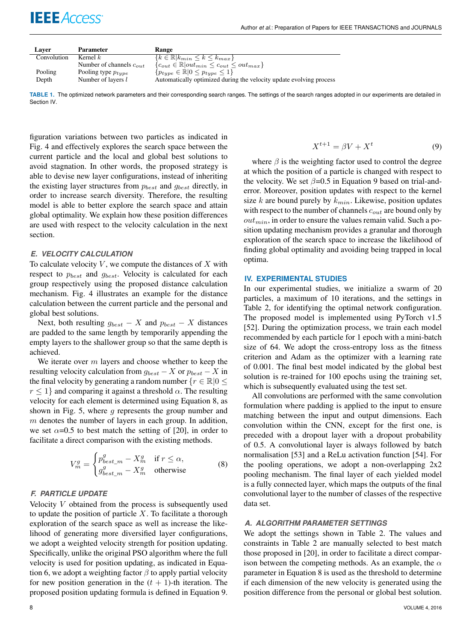| Laver       | <b>Parameter</b>             | Range                                                               |
|-------------|------------------------------|---------------------------------------------------------------------|
| Convolution | Kernel $k$                   | $\{k \in \mathbb{R}   k_{min} \leq k \leq k_{max}\}\$               |
|             | Number of channels $c_{out}$ | ${c_{out} \in \mathbb{R}  out_{min} \leq c_{out} \leq out_{max}}$   |
| Pooling     | Pooling type $p_{type}$      | $\{p_{type} \in \mathbb{R}   0 \leq p_{type} \leq 1\}$              |
| Depth       | Number of layers $l$         | Automatically optimized during the velocity update evolving process |

TABLE 1. The optimized network parameters and their corresponding search ranges. The settings of the search ranges adopted in our experiments are detailed in Section IV.

figuration variations between two particles as indicated in Fig. 4 and effectively explores the search space between the current particle and the local and global best solutions to avoid stagnation. In other words, the proposed strategy is able to devise new layer configurations, instead of inheriting the existing layer structures from  $p_{best}$  and  $g_{best}$  directly, in order to increase search diversity. Therefore, the resulting model is able to better explore the search space and attain global optimality. We explain how these position differences are used with respect to the velocity calculation in the next section.

#### *E. VELOCITY CALCULATION*

**IEEE** Access<sup>®</sup>

To calculate velocity  $V$ , we compute the distances of  $X$  with respect to  $p_{best}$  and  $g_{best}$ . Velocity is calculated for each group respectively using the proposed distance calculation mechanism. Fig. 4 illustrates an example for the distance calculation between the current particle and the personal and global best solutions.

Next, both resulting  $g_{best} - X$  and  $p_{best} - X$  distances are padded to the same length by temporarily appending the empty layers to the shallower group so that the same depth is achieved.

We iterate over  $m$  layers and choose whether to keep the resulting velocity calculation from  $g_{best} - X$  or  $p_{best} - X$  in the final velocity by generating a random number  $\{r \in \mathbb{R} | 0 \leq$  $r \leq 1$  and comparing it against a threshold  $\alpha$ . The resulting velocity for each element is determined using Equation 8, as shown in Fig. 5, where  $q$  represents the group number and  $m$  denotes the number of layers in each group. In addition, we set  $\alpha$ =0.5 to best match the setting of [20], in order to facilitate a direct comparison with the existing methods.

$$
V_m^g = \begin{cases} p_{best\_m}^g - X_m^g & \text{if } r \le \alpha, \\ g_{best\_m}^g - X_m^g & \text{otherwise} \end{cases}
$$
 (8)

#### *F. PARTICLE UPDATE*

Velocity  $V$  obtained from the process is subsequently used to update the position of particle  $X$ . To facilitate a thorough exploration of the search space as well as increase the likelihood of generating more diversified layer configurations, we adopt a weighted velocity strength for position updating. Specifically, unlike the original PSO algorithm where the full velocity is used for position updating, as indicated in Equation 6, we adopt a weighting factor  $\beta$  to apply partial velocity for new position generation in the  $(t + 1)$ -th iteration. The proposed position updating formula is defined in Equation 9.

$$
X^{t+1} = \beta V + X^t \tag{9}
$$

where  $\beta$  is the weighting factor used to control the degree at which the position of a particle is changed with respect to the velocity. We set  $\beta$ =0.5 in Equation 9 based on trial-anderror. Moreover, position updates with respect to the kernel size  $k$  are bound purely by  $k_{min}$ . Likewise, position updates with respect to the number of channels  $c_{out}$  are bound only by  $out_{min}$ , in order to ensure the values remain valid. Such a position updating mechanism provides a granular and thorough exploration of the search space to increase the likelihood of finding global optimality and avoiding being trapped in local optima.

#### **IV. EXPERIMENTAL STUDIES**

In our experimental studies, we initialize a swarm of 20 particles, a maximum of 10 iterations, and the settings in Table 2, for identifying the optimal network configuration. The proposed model is implemented using PyTorch v1.5 [52]. During the optimization process, we train each model recommended by each particle for 1 epoch with a mini-batch size of 64. We adopt the cross-entropy loss as the fitness criterion and Adam as the optimizer with a learning rate of 0.001. The final best model indicated by the global best solution is re-trained for 100 epochs using the training set, which is subsequently evaluated using the test set.

All convolutions are performed with the same convolution formulation where padding is applied to the input to ensure matching between the input and output dimensions. Each convolution within the CNN, except for the first one, is preceded with a dropout layer with a dropout probability of 0.5. A convolutional layer is always followed by batch normalisation [53] and a ReLu activation function [54]. For the pooling operations, we adopt a non-overlapping  $2x2$ pooling mechanism. The final layer of each yielded model is a fully connected layer, which maps the outputs of the final convolutional layer to the number of classes of the respective data set.

#### *A. ALGORITHM PARAMETER SETTINGS*

We adopt the settings shown in Table 2. The values and constraints in Table 2 are manually selected to best match those proposed in [20], in order to facilitate a direct comparison between the competing methods. As an example, the  $\alpha$ parameter in Equation 8 is used as the threshold to determine if each dimension of the new velocity is generated using the position difference from the personal or global best solution.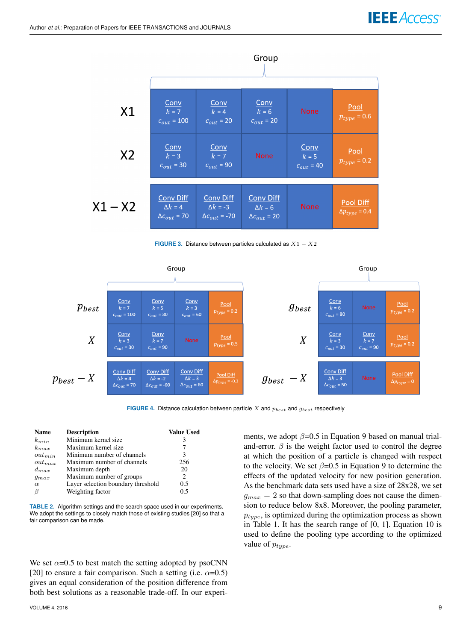

**FIGURE 3.** Distance between particles calculated as  $X1 - X2$ 



**FIGURE 4.** Distance calculation between particle  $X$  and  $p_{best}$  and  $g_{best}$  respectively

ments, we adopt  $\beta$ =0.5 in Equation 9 based on manual trialand-error.  $\beta$  is the weight factor used to control the degree at which the position of a particle is changed with respect to the velocity. We set  $\beta$ =0.5 in Equation 9 to determine the effects of the updated velocity for new position generation. As the benchmark data sets used have a size of 28x28, we set  $g_{max} = 2$  so that down-sampling does not cause the dimension to reduce below 8x8. Moreover, the pooling parameter,  $p_{true}$ , is optimized during the optimization process as shown

| <b>Name</b> | <b>Description</b>                 | <b>Value Used</b> |
|-------------|------------------------------------|-------------------|
| $k_{min}$   | Minimum kernel size                | 3                 |
| $k_{max}$   | Maximum kernel size                |                   |
| $out_{min}$ | Minimum number of channels         | 3                 |
| $out_{max}$ | Maximum number of channels         | 256               |
| $d_{max}$   | Maximum depth                      | 20                |
| $g_{max}$   | Maximum number of groups           | 2                 |
| $\alpha$    | Layer selection boundary threshold | 0.5               |
| ß           | Weighting factor                   | 0 ና               |

**TABLE 2.** Algorithm settings and the search space used in our experiments. We adopt the settings to closely match those of existing studies [20] so that a fair comparison can be made.

We set  $\alpha$ =0.5 to best match the setting adopted by psoCNN [20] to ensure a fair comparison. Such a setting (i.e.  $\alpha$ =0.5) gives an equal consideration of the position difference from both best solutions as a reasonable trade-off. In our experi-

in Table 1. It has the search range of [0, 1]. Equation 10 is used to define the pooling type according to the optimized value of  $p_{type}$ .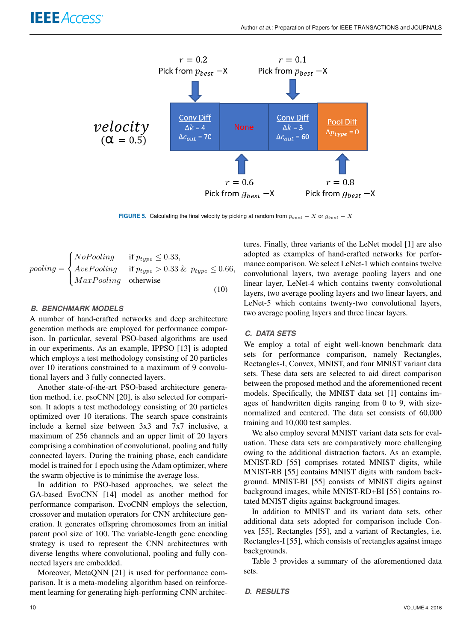

**FIGURE 5.** Calculating the final velocity by picking at random from  $p_{best} - X$  or  $g_{best} - X$ 

$$
pooling = \begin{cases} NoPooling & \text{if } p_{type} \le 0.33, \\ AvePooling & \text{if } p_{type} > 0.33 \& p_{type} \le 0.66, \\ MaxPooling & \text{otherwise} \end{cases}
$$
(10)

# *B. BENCHMARK MODELS*

A number of hand-crafted networks and deep architecture generation methods are employed for performance comparison. In particular, several PSO-based algorithms are used in our experiments. As an example, IPPSO [13] is adopted which employs a test methodology consisting of 20 particles over 10 iterations constrained to a maximum of 9 convolutional layers and 3 fully connected layers.

Another state-of-the-art PSO-based architecture generation method, i.e. psoCNN [20], is also selected for comparison. It adopts a test methodology consisting of 20 particles optimized over 10 iterations. The search space constraints include a kernel size between 3x3 and 7x7 inclusive, a maximum of 256 channels and an upper limit of 20 layers comprising a combination of convolutional, pooling and fully connected layers. During the training phase, each candidate model is trained for 1 epoch using the Adam optimizer, where the swarm objective is to minimise the average loss.

In addition to PSO-based approaches, we select the GA-based EvoCNN [14] model as another method for performance comparison. EvoCNN employs the selection, crossover and mutation operators for CNN architecture generation. It generates offspring chromosomes from an initial parent pool size of 100. The variable-length gene encoding strategy is used to represent the CNN architectures with diverse lengths where convolutional, pooling and fully connected layers are embedded.

Moreover, MetaQNN [21] is used for performance comparison. It is a meta-modeling algorithm based on reinforcement learning for generating high-performing CNN architectures. Finally, three variants of the LeNet model [1] are also adopted as examples of hand-crafted networks for performance comparison. We select LeNet-1 which contains twelve convolutional layers, two average pooling layers and one linear layer, LeNet-4 which contains twenty convolutional layers, two average pooling layers and two linear layers, and LeNet-5 which contains twenty-two convolutional layers, two average pooling layers and three linear layers.

#### *C. DATA SETS*

We employ a total of eight well-known benchmark data sets for performance comparison, namely Rectangles, Rectangles-I, Convex, MNIST, and four MNIST variant data sets. These data sets are selected to aid direct comparison between the proposed method and the aforementioned recent models. Specifically, the MNIST data set [1] contains images of handwritten digits ranging from 0 to 9, with sizenormalized and centered. The data set consists of 60,000 training and 10,000 test samples.

We also employ several MNIST variant data sets for evaluation. These data sets are comparatively more challenging owing to the additional distraction factors. As an example, MNIST-RD [55] comprises rotated MNIST digits, while MNIST-RB [55] contains MNIST digits with random background. MNIST-BI [55] consists of MNIST digits against background images, while MNIST-RD+BI [55] contains rotated MNIST digits against background images.

In addition to MNIST and its variant data sets, other additional data sets adopted for comparison include Convex [55], Rectangles [55], and a variant of Rectangles, i.e. Rectangles-I [55], which consists of rectangles against image backgrounds.

Table 3 provides a summary of the aforementioned data sets.

```
D. RESULTS
```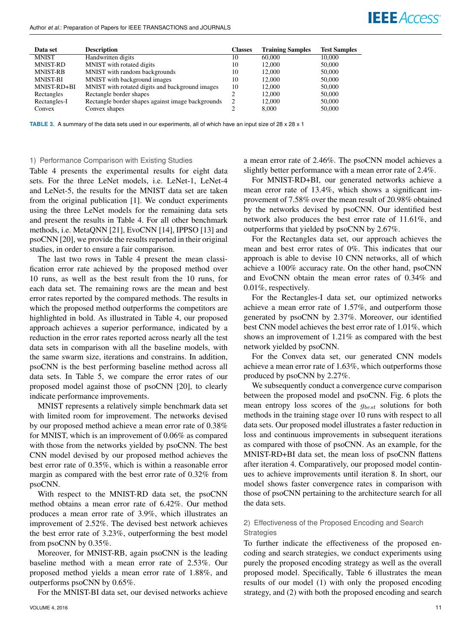#### Author *et al.*: Preparation of Papers for IEEE TRANSACTIONS and JOURNALS

| Data set        | <b>Description</b>                                | <b>Classes</b> | <b>Training Samples</b> | <b>Test Samples</b> |
|-----------------|---------------------------------------------------|----------------|-------------------------|---------------------|
| <b>MNIST</b>    | Handwritten digits                                | 10             | 60,000                  | 10,000              |
| <b>MNIST-RD</b> | MNIST with rotated digits                         | 10             | 12.000                  | 50,000              |
| <b>MNIST-RB</b> | MNIST with random backgrounds                     | 10             | 12.000                  | 50,000              |
| <b>MNIST-BI</b> | MNIST with background images                      | 10             | 12.000                  | 50,000              |
| MNIST-RD+BI     | MNIST with rotated digits and background images   | 10             | 12.000                  | 50,000              |
| Rectangles      | Rectangle border shapes                           | າ              | 12.000                  | 50,000              |
| Rectangles-I    | Rectangle border shapes against image backgrounds | 2              | 12,000                  | 50,000              |
| Convex          | Convex shapes                                     |                | 8,000                   | 50,000              |

**TABLE 3.** A summary of the data sets used in our experiments, all of which have an input size of 28 x 28 x 1

#### 1) Performance Comparison with Existing Studies

Table 4 presents the experimental results for eight data sets. For the three LeNet models, i.e. LeNet-1, LeNet-4 and LeNet-5, the results for the MNIST data set are taken from the original publication [1]. We conduct experiments using the three LeNet models for the remaining data sets and present the results in Table 4. For all other benchmark methods, i.e. MetaQNN [21], EvoCNN [14], IPPSO [13] and psoCNN [20], we provide the results reported in their original studies, in order to ensure a fair comparison.

The last two rows in Table 4 present the mean classification error rate achieved by the proposed method over 10 runs, as well as the best result from the 10 runs, for each data set. The remaining rows are the mean and best error rates reported by the compared methods. The results in which the proposed method outperforms the competitors are highlighted in bold. As illustrated in Table 4, our proposed approach achieves a superior performance, indicated by a reduction in the error rates reported across nearly all the test data sets in comparison with all the baseline models, with the same swarm size, iterations and constrains. In addition, psoCNN is the best performing baseline method across all data sets. In Table 5, we compare the error rates of our proposed model against those of psoCNN [20], to clearly indicate performance improvements.

MNIST represents a relatively simple benchmark data set with limited room for improvement. The networks devised by our proposed method achieve a mean error rate of 0.38% for MNIST, which is an improvement of 0.06% as compared with those from the networks yielded by psoCNN. The best CNN model devised by our proposed method achieves the best error rate of 0.35%, which is within a reasonable error margin as compared with the best error rate of 0.32% from psoCNN.

With respect to the MNIST-RD data set, the psoCNN method obtains a mean error rate of 6.42%. Our method produces a mean error rate of 3.9%, which illustrates an improvement of 2.52%. The devised best network achieves the best error rate of 3.23%, outperforming the best model from psoCNN by 0.35%.

Moreover, for MNIST-RB, again psoCNN is the leading baseline method with a mean error rate of 2.53%. Our proposed method yields a mean error rate of 1.88%, and outperforms psoCNN by 0.65%.

For the MNIST-BI data set, our devised networks achieve

a mean error rate of 2.46%. The psoCNN model achieves a slightly better performance with a mean error rate of 2.4%.

**IEEE** Access

For MNIST-RD+BI, our generated networks achieve a mean error rate of 13.4%, which shows a significant improvement of 7.58% over the mean result of 20.98% obtained by the networks devised by psoCNN. Our identified best network also produces the best error rate of 11.61%, and outperforms that yielded by psoCNN by 2.67%.

For the Rectangles data set, our approach achieves the mean and best error rates of 0%. This indicates that our approach is able to devise 10 CNN networks, all of which achieve a 100% accuracy rate. On the other hand, psoCNN and EvoCNN obtain the mean error rates of 0.34% and 0.01%, respectively.

For the Rectangles-I data set, our optimized networks achieve a mean error rate of 1.57%, and outperform those generated by psoCNN by 2.37%. Moreover, our identified best CNN model achieves the best error rate of 1.01%, which shows an improvement of 1.21% as compared with the best network yielded by psoCNN.

For the Convex data set, our generated CNN models achieve a mean error rate of 1.63%, which outperforms those produced by psoCNN by 2.27%.

We subsequently conduct a convergence curve comparison between the proposed model and psoCNN. Fig. 6 plots the mean entropy loss scores of the  $g_{best}$  solutions for both methods in the training stage over 10 runs with respect to all data sets. Our proposed model illustrates a faster reduction in loss and continuous improvements in subsequent iterations as compared with those of psoCNN. As an example, for the MNIST-RD+BI data set, the mean loss of psoCNN flattens after iteration 4. Comparatively, our proposed model continues to achieve improvements until iteration 8. In short, our model shows faster convergence rates in comparison with those of psoCNN pertaining to the architecture search for all the data sets.

# 2) Effectiveness of the Proposed Encoding and Search **Strategies**

To further indicate the effectiveness of the proposed encoding and search strategies, we conduct experiments using purely the proposed encoding strategy as well as the overall proposed model. Specifically, Table 6 illustrates the mean results of our model (1) with only the proposed encoding strategy, and (2) with both the proposed encoding and search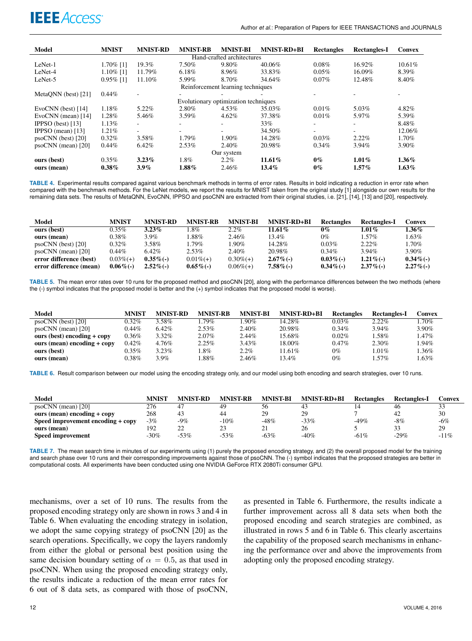

| Model                      | <b>MNIST</b> | <b>MNIST-RD</b>          | <b>MNIST-RB</b>                      | <b>MNIST-BI</b>                   | <b>MNIST-RD+BI</b> | <b>Rectangles</b> | <b>Rectangles-I</b> | <b>Convex</b> |  |
|----------------------------|--------------|--------------------------|--------------------------------------|-----------------------------------|--------------------|-------------------|---------------------|---------------|--|
| Hand-crafted architectures |              |                          |                                      |                                   |                    |                   |                     |               |  |
| LeNet-1                    | 1.70% [1]    | 19.3%                    | 7.50%                                | 9.80%                             | 40.06%             | 0.08%             | 16.92%              | 10.61%        |  |
| LeNet-4                    | $1.10\%$ [1] | 11.79%                   | 6.18%                                | 8.96%                             | 33.83%             | 0.05%             | 16.09%              | 8.39%         |  |
| LeNet-5                    | $0.95\%$ [1] | 11.10%                   | 5.99%                                | 8.70%                             | 34.64%             | $0.07\%$          | 12.48%              | 8.40%         |  |
|                            |              |                          |                                      | Reinforcement learning techniques |                    |                   |                     |               |  |
| MetaONN (best) [21]        | $0.44\%$     |                          |                                      |                                   |                    |                   |                     | ۰             |  |
|                            |              |                          | Evolutionary optimization techniques |                                   |                    |                   |                     |               |  |
| EvoCNN (best) [14]         | 1.18%        | 5.22%                    | 2.80%                                | 4.53%                             | 35.03%             | 0.01%             | 5.03%               | 4.82%         |  |
| EvoCNN (mean) [14]         | 1.28%        | 5.46%                    | $3.59\%$                             | 4.62%                             | 37.38%             | 0.01%             | 5.97%               | 5.39%         |  |
| IPPSO (best) [13]          | 1.13%        |                          |                                      |                                   | 33%                |                   |                     | 8.48%         |  |
| IPPSO (mean) $[13]$        | 1.21%        | $\overline{\phantom{a}}$ | ۰.                                   |                                   | 34.50%             | ۰.                |                     | 12.06%        |  |
| $posCNN$ (best) [20]       | $0.32\%$     | 3.58%                    | 1.79%                                | 1.90%                             | 14.28%             | 0.03%             | $2.22\%$            | 1.70%         |  |
| posCNN (mean) [20]         | $0.44\%$     | 6.42%                    | 2.53%                                | 2.40%                             | 20.98%             | 0.34%             | 3.94%               | 3.90%         |  |
| Our system                 |              |                          |                                      |                                   |                    |                   |                     |               |  |
| ours (best)                | $0.35\%$     | $3.23\%$                 | 1.8%                                 | $2.2\%$                           | 11.61%             | $0\%$             | $1.01\%$            | $1.36\%$      |  |
| ours (mean)                | $0.38\%$     | $3.9\%$                  | $1.88\%$                             | 2.46%                             | $13.4\%$           | $0\%$             | $1.57\%$            | $1.63\%$      |  |

**TABLE 4.** Experimental results compared against various benchmark methods in terms of error rates. Results in bold indicating a reduction in error rate when compared with the benchmark methods. For the LeNet models, we report the results for MNIST taken from the original study [1] alongside our own results for the remaining data sets. The results of MetaQNN, EvoCNN, IPPSO and psoCNN are extracted from their original studies, i.e. [21], [14], [13] and [20], respectively.

| Model                   | MNIST        | <b>MNIST-RD</b> | <b>MNIST-RB</b> | <b>MNIST-BI</b> | <b>MNIST-RD+BI</b> | Rectangles   | <b>Rectangles-I</b> | Convex       |
|-------------------------|--------------|-----------------|-----------------|-----------------|--------------------|--------------|---------------------|--------------|
| ours (best)             | $0.35\%$     | $3.23\%$        | .8%             | $2.2\%$         | 11.61%             | $0\%$        | 1.01 $\%$           | 1.36%        |
| ours (mean)             | $0.38\%$     | 3.9%            | $.88\%$         | 2.46%           | 13.4%              | 0%           | $1.57\%$            | 1.63%        |
| $posCNN$ (best) [20]    | $0.32\%$     | 3.58%           | $1.79\%$        | .90%            | 14.28%             | $0.03\%$     | 2.22%               | 1.70%        |
| $posCNN$ (mean) [20]    | $0.44\%$     | $6.42\%$        | 2.53%           | 2.40%           | 20.98%             | $0.34\%$     | $3.94\%$            | $3.90\%$     |
| error difference (best) | $0.03\%(+)$  | $0.35\%$ (-)    | $0.01\%(+)$     | $0.30\%(+)$     | $2.67\%$ (-)       | $0.03\%$ (-) | $1.21\%$ (-)        | $0.34\%$ (-) |
| error difference (mean) | $0.06\%$ (-) | $2.52\%$ (-)    | $0.65\%$ (-)    | $0.06\%(+)$     | $7.58\%$ (-)       | $0.34\%$ (-) | $2.37\%$ (-)        | $2.27\%$ (-) |

**TABLE 5.** The mean error rates over 10 runs for the proposed method and psoCNN [20], along with the performance differences between the two methods (where the (-) symbol indicates that the proposed model is better and the (+) symbol indicates that the proposed model is worse).

| Model                         | MNIST    | <b>MNIST-RD</b> | <b>MNIST-RB</b> | <b>MNIST-BI</b> | <b>MNIST-RD+BI</b> | Rectangles | Rectangles-I | Convex   |
|-------------------------------|----------|-----------------|-----------------|-----------------|--------------------|------------|--------------|----------|
| $posCNN$ (best) [20]          | 0.32%    | 3.58%           | .79%            | $.90\%$         | 14.28%             | $0.03\%$   | $2.22\%$     | 1.70%    |
| $posCNN$ (mean) [20]          | 0.44%    | $6.42\%$        | 2.53%           | 2.40%           | 20.98%             | $0.34\%$   | 3.94%        | 3.90%    |
| ours (best) encoding $+$ copy | $0.36\%$ | $3.32\%$        | 2.07%           | $2.44\%$        | 15.68%             | $0.02\%$   | 1.58%        | $1.47\%$ |
| ours (mean) encoding $+$ copy | 0.42%    | 4.76%           | 2.25%           | $3.43\%$        | 18.00%             | $0.47\%$   | 2.30%        | 1.94%    |
| ours (best)                   | $0.35\%$ | 3.23%           | $.8\%$          | $2.2\%$         | 11.61%             | $0\%$      | $1.01\%$     | 1.36%    |
| ours (mean)                   | 0.38%    | $3.9\%$         | $.88\%$         | 2.46%           | 13.4%              | $0\%$      | $.57\%$      | 1.63%    |

**TABLE 6.** Result comparison between our model using the encoding strategy only, and our model using both encoding and search strategies, over 10 runs.

| Model                             | MNIST  | <b>MNIST-RD</b> | <b>MNIST-RB</b> | <b>MNIST-BI</b> | <b>MNIST-RD+BI</b> | <b>Rectangles</b> | <b>Rectangles-I</b> | Convex |
|-----------------------------------|--------|-----------------|-----------------|-----------------|--------------------|-------------------|---------------------|--------|
| $psoCNN$ (mean) [20]              | 276    |                 | 49              | 56              | 43                 |                   | 46                  | 33     |
| ours (mean) encoding $+$ copy     | 268    | 43              | 44              | 29              | 29                 |                   | 42                  | 30     |
| Speed improvement encoding + copy | $-3%$  | $-9\%$          | $-10%$          | $-48%$          | $-33%$             | $-49%$            | -8%                 | $-6\%$ |
| ours (mean)                       | 192    | 22              | 23              | 21              | 26                 |                   | 33                  | 29     |
| <b>Speed improvement</b>          | $-30%$ | $-53%$          | $-53%$          | $-63%$          | $-40%$             | $-61%$            | $-29%$              | $-11%$ |

**TABLE 7.** The mean search time in minutes of our experiments using (1) purely the proposed encoding strategy, and (2) the overall proposed model for the training and search phase over 10 runs and their corresponding improvements against those of psoCNN. The (-) symbol indicates that the proposed strategies are better in computational costs. All experiments have been conducted using one NVIDIA GeForce RTX 2080Ti consumer GPU.

mechanisms, over a set of 10 runs. The results from the proposed encoding strategy only are shown in rows 3 and 4 in Table 6. When evaluating the encoding strategy in isolation, we adopt the same copying strategy of psoCNN [20] as the search operations. Specifically, we copy the layers randomly from either the global or personal best position using the same decision boundary setting of  $\alpha = 0.5$ , as that used in psoCNN. When using the proposed encoding strategy only, the results indicate a reduction of the mean error rates for 6 out of 8 data sets, as compared with those of psoCNN,

as presented in Table 6. Furthermore, the results indicate a further improvement across all 8 data sets when both the proposed encoding and search strategies are combined, as illustrated in rows 5 and 6 in Table 6. This clearly ascertains the capability of the proposed search mechanisms in enhancing the performance over and above the improvements from adopting only the proposed encoding strategy.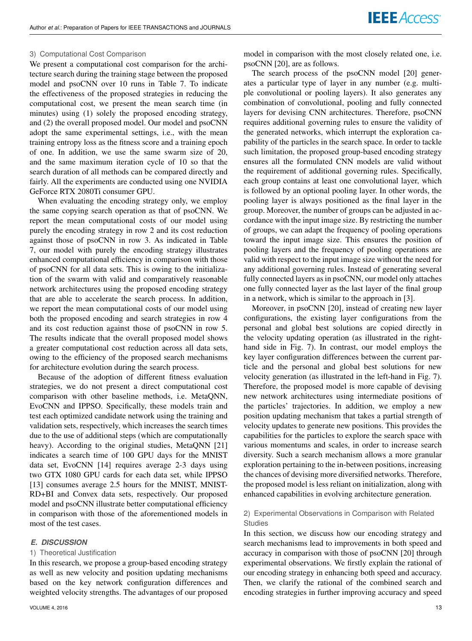#### 3) Computational Cost Comparison

We present a computational cost comparison for the architecture search during the training stage between the proposed model and psoCNN over 10 runs in Table 7. To indicate the effectiveness of the proposed strategies in reducing the computational cost, we present the mean search time (in minutes) using (1) solely the proposed encoding strategy, and (2) the overall proposed model. Our model and psoCNN adopt the same experimental settings, i.e., with the mean training entropy loss as the fitness score and a training epoch of one. In addition, we use the same swarm size of 20, and the same maximum iteration cycle of 10 so that the search duration of all methods can be compared directly and fairly. All the experiments are conducted using one NVIDIA GeForce RTX 2080Ti consumer GPU.

When evaluating the encoding strategy only, we employ the same copying search operation as that of psoCNN. We report the mean computational costs of our model using purely the encoding strategy in row 2 and its cost reduction against those of psoCNN in row 3. As indicated in Table 7, our model with purely the encoding strategy illustrates enhanced computational efficiency in comparison with those of psoCNN for all data sets. This is owing to the initialization of the swarm with valid and comparatively reasonable network architectures using the proposed encoding strategy that are able to accelerate the search process. In addition, we report the mean computational costs of our model using both the proposed encoding and search strategies in row 4 and its cost reduction against those of psoCNN in row 5. The results indicate that the overall proposed model shows a greater computational cost reduction across all data sets, owing to the efficiency of the proposed search mechanisms for architecture evolution during the search process.

Because of the adoption of different fitness evaluation strategies, we do not present a direct computational cost comparison with other baseline methods, i.e. MetaQNN, EvoCNN and IPPSO. Specifically, these models train and test each optimized candidate network using the training and validation sets, respectively, which increases the search times due to the use of additional steps (which are computationally heavy). According to the original studies, MetaQNN [21] indicates a search time of 100 GPU days for the MNIST data set, EvoCNN [14] requires average 2-3 days using two GTX 1080 GPU cards for each data set, while IPPSO [13] consumes average 2.5 hours for the MNIST, MNIST-RD+BI and Convex data sets, respectively. Our proposed model and psoCNN illustrate better computational efficiency in comparison with those of the aforementioned models in most of the test cases.

#### *E. DISCUSSION*

#### 1) Theoretical Justification

In this research, we propose a group-based encoding strategy as well as new velocity and position updating mechanisms based on the key network configuration differences and weighted velocity strengths. The advantages of our proposed model in comparison with the most closely related one, i.e. psoCNN [20], are as follows.

The search process of the psoCNN model [20] generates a particular type of layer in any number (e.g. multiple convolutional or pooling layers). It also generates any combination of convolutional, pooling and fully connected layers for devising CNN architectures. Therefore, psoCNN requires additional governing rules to ensure the validity of the generated networks, which interrupt the exploration capability of the particles in the search space. In order to tackle such limitation, the proposed group-based encoding strategy ensures all the formulated CNN models are valid without the requirement of additional governing rules. Specifically, each group contains at least one convolutional layer, which is followed by an optional pooling layer. In other words, the pooling layer is always positioned as the final layer in the group. Moreover, the number of groups can be adjusted in accordance with the input image size. By restricting the number of groups, we can adapt the frequency of pooling operations toward the input image size. This ensures the position of pooling layers and the frequency of pooling operations are valid with respect to the input image size without the need for any additional governing rules. Instead of generating several fully connected layers as in psoCNN, our model only attaches one fully connected layer as the last layer of the final group in a network, which is similar to the approach in [3].

Moreover, in psoCNN [20], instead of creating new layer configurations, the existing layer configurations from the personal and global best solutions are copied directly in the velocity updating operation (as illustrated in the righthand side in Fig. 7). In contrast, our model employs the key layer configuration differences between the current particle and the personal and global best solutions for new velocity generation (as illustrated in the left-hand in Fig. 7). Therefore, the proposed model is more capable of devising new network architectures using intermediate positions of the particles' trajectories. In addition, we employ a new position updating mechanism that takes a partial strength of velocity updates to generate new positions. This provides the capabilities for the particles to explore the search space with various momentums and scales, in order to increase search diversity. Such a search mechanism allows a more granular exploration pertaining to the in-between positions, increasing the chances of devising more diversified networks. Therefore, the proposed model is less reliant on initialization, along with enhanced capabilities in evolving architecture generation.

# 2) Experimental Observations in Comparison with Related **Studies**

In this section, we discuss how our encoding strategy and search mechanisms lead to improvements in both speed and accuracy in comparison with those of psoCNN [20] through experimental observations. We firstly explain the rational of our encoding strategy in enhancing both speed and accuracy. Then, we clarify the rational of the combined search and encoding strategies in further improving accuracy and speed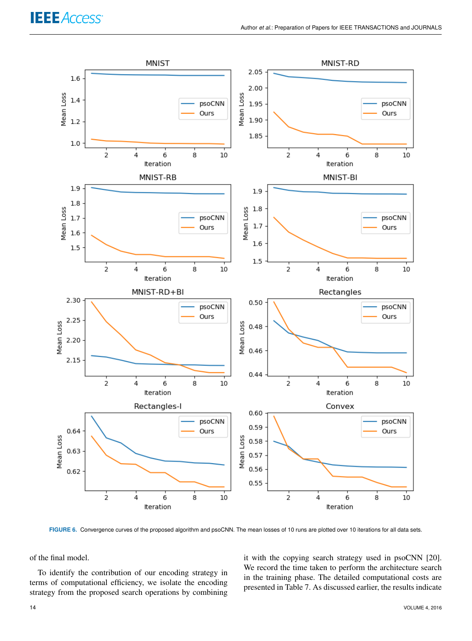

**FIGURE 6.** Convergence curves of the proposed algorithm and psoCNN. The mean losses of 10 runs are plotted over 10 iterations for all data sets.

of the final model.

To identify the contribution of our encoding strategy in terms of computational efficiency, we isolate the encoding strategy from the proposed search operations by combining

it with the copying search strategy used in psoCNN [20]. We record the time taken to perform the architecture search in the training phase. The detailed computational costs are presented in Table 7. As discussed earlier, the results indicate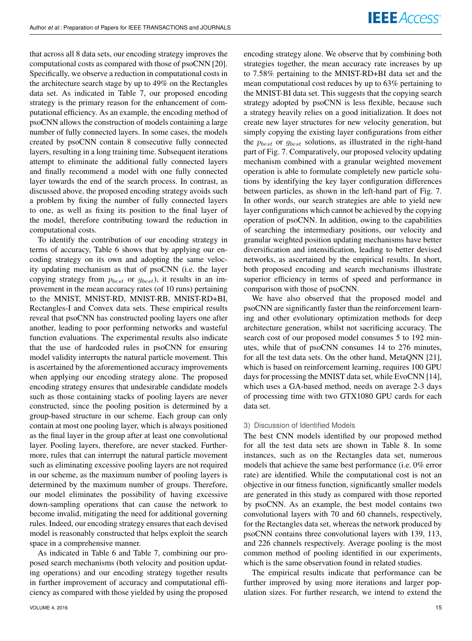that across all 8 data sets, our encoding strategy improves the computational costs as compared with those of psoCNN [20]. Specifically, we observe a reduction in computational costs in the architecture search stage by up to 49% on the Rectangles data set. As indicated in Table 7, our proposed encoding strategy is the primary reason for the enhancement of computational efficiency. As an example, the encoding method of psoCNN allows the construction of models containing a large number of fully connected layers. In some cases, the models created by psoCNN contain 8 consecutive fully connected layers, resulting in a long training time. Subsequent iterations attempt to eliminate the additional fully connected layers and finally recommend a model with one fully connected layer towards the end of the search process. In contrast, as discussed above, the proposed encoding strategy avoids such a problem by fixing the number of fully connected layers to one, as well as fixing its position to the final layer of the model, therefore contributing toward the reduction in computational costs.

To identify the contribution of our encoding strategy in terms of accuracy, Table 6 shows that by applying our encoding strategy on its own and adopting the same velocity updating mechanism as that of psoCNN (i.e. the layer copying strategy from  $p_{best}$  or  $q_{best}$ ), it results in an improvement in the mean accuracy rates (of 10 runs) pertaining to the MNIST, MNIST-RD, MNIST-RB, MNIST-RD+BI, Rectangles-I and Convex data sets. These empirical results reveal that psoCNN has constructed pooling layers one after another, leading to poor performing networks and wasteful function evaluations. The experimental results also indicate that the use of hardcoded rules in psoCNN for ensuring model validity interrupts the natural particle movement. This is ascertained by the aforementioned accuracy improvements when applying our encoding strategy alone. The proposed encoding strategy ensures that undesirable candidate models such as those containing stacks of pooling layers are never constructed, since the pooling position is determined by a group-based structure in our scheme. Each group can only contain at most one pooling layer, which is always positioned as the final layer in the group after at least one convolutional layer. Pooling layers, therefore, are never stacked. Furthermore, rules that can interrupt the natural particle movement such as eliminating excessive pooling layers are not required in our scheme, as the maximum number of pooling layers is determined by the maximum number of groups. Therefore, our model eliminates the possibility of having excessive down-sampling operations that can cause the network to become invalid, mitigating the need for additional governing rules. Indeed, our encoding strategy ensures that each devised model is reasonably constructed that helps exploit the search space in a comprehensive manner.

As indicated in Table 6 and Table 7, combining our proposed search mechanisms (both velocity and position updating operations) and our encoding strategy together results in further improvement of accuracy and computational efficiency as compared with those yielded by using the proposed encoding strategy alone. We observe that by combining both strategies together, the mean accuracy rate increases by up to 7.58% pertaining to the MNIST-RD+BI data set and the mean computational cost reduces by up to 63% pertaining to the MNIST-BI data set. This suggests that the copying search strategy adopted by psoCNN is less flexible, because such a strategy heavily relies on a good initialization. It does not create new layer structures for new velocity generation, but simply copying the existing layer configurations from either the  $p_{best}$  or  $g_{best}$  solutions, as illustrated in the right-hand part of Fig. 7. Comparatively, our proposed velocity updating mechanism combined with a granular weighted movement operation is able to formulate completely new particle solutions by identifying the key layer configuration differences between particles, as shown in the left-hand part of Fig. 7. In other words, our search strategies are able to yield new layer configurations which cannot be achieved by the copying operation of psoCNN. In addition, owing to the capabilities of searching the intermediary positions, our velocity and granular weighted position updating mechanisms have better diversification and intensification, leading to better devised networks, as ascertained by the empirical results. In short, both proposed encoding and search mechanisms illustrate superior efficiency in terms of speed and performance in comparison with those of psoCNN.

We have also observed that the proposed model and psoCNN are significantly faster than the reinforcement learning and other evolutionary optimization methods for deep architecture generation, whilst not sacrificing accuracy. The search cost of our proposed model consumes 5 to 192 minutes, while that of psoCNN consumes 14 to 276 minutes, for all the test data sets. On the other hand, MetaQNN [21], which is based on reinforcement learning, requires 100 GPU days for processing the MNIST data set, while EvoCNN [14], which uses a GA-based method, needs on average 2-3 days of processing time with two GTX1080 GPU cards for each data set.

#### 3) Discussion of Identified Models

The best CNN models identified by our proposed method for all the test data sets are shown in Table 8. In some instances, such as on the Rectangles data set, numerous models that achieve the same best performance (i.e. 0% error rate) are identified. While the computational cost is not an objective in our fitness function, significantly smaller models are generated in this study as compared with those reported by psoCNN. As an example, the best model contains two convolutional layers with 70 and 60 channels, respectively, for the Rectangles data set, whereas the network produced by psoCNN contains three convolutional layers with 139, 113, and 226 channels respectively. Average pooling is the most common method of pooling identified in our experiments, which is the same observation found in related studies.

The empirical results indicate that performance can be further improved by using more iterations and larger population sizes. For further research, we intend to extend the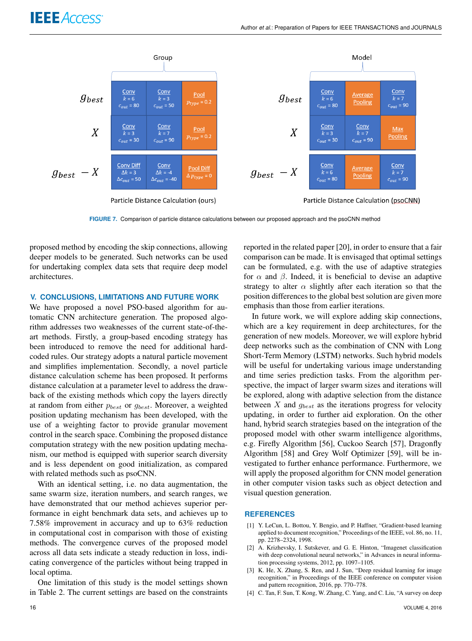

**FIGURE 7.** Comparison of particle distance calculations between our proposed approach and the psoCNN method

proposed method by encoding the skip connections, allowing deeper models to be generated. Such networks can be used for undertaking complex data sets that require deep model architectures.

## **V. CONCLUSIONS, LIMITATIONS AND FUTURE WORK**

We have proposed a novel PSO-based algorithm for automatic CNN architecture generation. The proposed algorithm addresses two weaknesses of the current state-of-theart methods. Firstly, a group-based encoding strategy has been introduced to remove the need for additional hardcoded rules. Our strategy adopts a natural particle movement and simplifies implementation. Secondly, a novel particle distance calculation scheme has been proposed. It performs distance calculation at a parameter level to address the drawback of the existing methods which copy the layers directly at random from either  $p_{best}$  or  $g_{best}$ . Moreover, a weighted position updating mechanism has been developed, with the use of a weighting factor to provide granular movement control in the search space. Combining the proposed distance computation strategy with the new position updating mechanism, our method is equipped with superior search diversity and is less dependent on good initialization, as compared with related methods such as psoCNN.

With an identical setting, i.e. no data augmentation, the same swarm size, iteration numbers, and search ranges, we have demonstrated that our method achieves superior performance in eight benchmark data sets, and achieves up to 7.58% improvement in accuracy and up to 63% reduction in computational cost in comparison with those of existing methods. The convergence curves of the proposed model across all data sets indicate a steady reduction in loss, indicating convergence of the particles without being trapped in local optima.

One limitation of this study is the model settings shown in Table 2. The current settings are based on the constraints

reported in the related paper [20], in order to ensure that a fair comparison can be made. It is envisaged that optimal settings can be formulated, e.g. with the use of adaptive strategies for  $\alpha$  and  $\beta$ . Indeed, it is beneficial to devise an adaptive strategy to alter  $\alpha$  slightly after each iteration so that the position differences to the global best solution are given more emphasis than those from earlier iterations.

In future work, we will explore adding skip connections, which are a key requirement in deep architectures, for the generation of new models. Moreover, we will explore hybrid deep networks such as the combination of CNN with Long Short-Term Memory (LSTM) networks. Such hybrid models will be useful for undertaking various image understanding and time series prediction tasks. From the algorithm perspective, the impact of larger swarm sizes and iterations will be explored, along with adaptive selection from the distance between  $X$  and  $g_{best}$  as the iterations progress for velocity updating, in order to further aid exploration. On the other hand, hybrid search strategies based on the integration of the proposed model with other swarm intelligence algorithms, e.g. Firefly Algorithm [56], Cuckoo Search [57], Dragonfly Algorithm [58] and Grey Wolf Optimizer [59], will be investigated to further enhance performance. Furthermore, we will apply the proposed algorithm for CNN model generation in other computer vision tasks such as object detection and visual question generation.

#### **REFERENCES**

- [1] Y. LeCun, L. Bottou, Y. Bengio, and P. Haffner, "Gradient-based learning applied to document recognition," Proceedings of the IEEE, vol. 86, no. 11, pp. 2278–2324, 1998.
- [2] A. Krizhevsky, I. Sutskever, and G. E. Hinton, "Imagenet classification with deep convolutional neural networks," in Advances in neural information processing systems, 2012, pp. 1097–1105.
- [3] K. He, X. Zhang, S. Ren, and J. Sun, "Deep residual learning for image recognition," in Proceedings of the IEEE conference on computer vision and pattern recognition, 2016, pp. 770–778.
- [4] C. Tan, F. Sun, T. Kong, W. Zhang, C. Yang, and C. Liu, "A survey on deep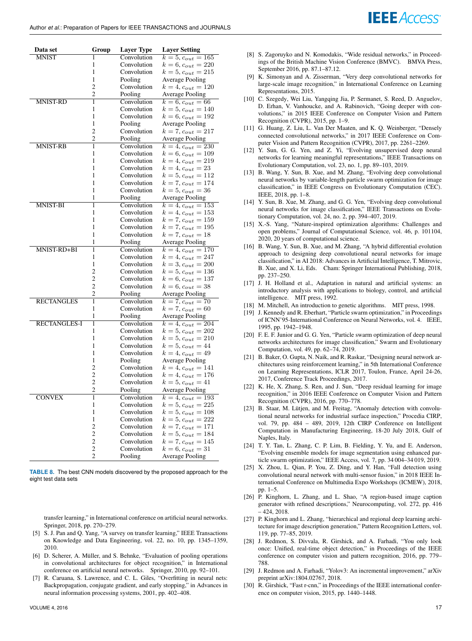| Data set            | Group               | <b>Layer Type</b>      | <b>Layer Setting</b>                           |
|---------------------|---------------------|------------------------|------------------------------------------------|
| <b>MNIST</b>        | 1                   | Convolution            | $k = 5, c_{out} = 165$                         |
|                     | 1                   | Convolution            | $k = 6, c_{out} = 220$                         |
|                     | 1                   | Convolution            | $k = 5, c_{out} = 215$                         |
|                     | 1                   | Pooling                | <b>Average Pooling</b>                         |
|                     | $\overline{c}$      | Convolution            | $k = 4, c_{out} = 120$                         |
|                     | $\overline{c}$      | Pooling                | <b>Average Pooling</b>                         |
| <b>MNIST-RD</b>     | 1                   | Convolution            | $k = 6, c_{out} = 66$                          |
|                     | 1                   | Convolution            | $k = 5, c_{out} = 140$                         |
|                     | 1                   | Convolution            | $k = 6, c_{out} = 192$                         |
|                     | 1                   | Pooling                | <b>Average Pooling</b>                         |
|                     | $\overline{2}$      | Convolution            | $k = 7, c_{out} = 217$                         |
|                     | $\overline{c}$      | Pooling                | <b>Average Pooling</b>                         |
| <b>MNIST-RB</b>     | 1                   | Convolution            | $k = 4, c_{out} = 230$                         |
|                     | 1                   | Convolution            | $k = 6, c_{out} = 109$                         |
|                     | 1                   | Convolution            | $k = 4, c_{out} = 219$                         |
|                     | 1                   | Convolution            | $k = 4, c_{out} = 23$                          |
|                     | 1                   | Convolution            | $k = 5, c_{out} = 112$                         |
|                     | 1                   | Convolution            | $k = 7, c_{out} = 174$                         |
|                     | 1                   | Convolution            | $k = 5, c_{out} = 36$                          |
|                     | 1                   | Pooling                | <b>Average Pooling</b>                         |
| MNIST-BI            | 1                   | Convolution            | $k = 4, c_{out} = 153$                         |
|                     | 1                   | Convolution            | $k = 4, c_{out} = 153$                         |
|                     | 1                   | Convolution            | $k = 7, c_{out} = 159$                         |
|                     | 1                   | Convolution            | $k = 7, c_{out} = 195$                         |
|                     | 1                   | Convolution            | $k = 7, c_{out} = 18$                          |
|                     | 1                   | Pooling                | <b>Average Pooling</b>                         |
| MNIST-RD+BI         | ī                   | Convolution            | $k = 4, c_{out} = 170$                         |
|                     | 1                   | Convolution            | $k = 4, c_{out} = 247$                         |
|                     | 1                   | Convolution            | $k = 3, c_{out} = 200$                         |
|                     | $\overline{2}$      | Convolution            | $k = 5, c_{out} = 136$                         |
|                     | $\overline{2}$      | Convolution            | $k = 6, c_{out} = 137$                         |
|                     | 2<br>$\overline{c}$ | Convolution            | $k = 6, c_{out} = 38$                          |
| <b>RECTANGLES</b>   | 1                   | Pooling<br>Convolution | <b>Average Pooling</b>                         |
|                     | 1                   | Convolution            | $k = 7, c_{out} = 70$<br>$k = 7, c_{out} = 60$ |
|                     | $\mathbf{1}$        | Pooling                | Average Pooling                                |
| <b>RECTANGLES-I</b> | ī                   | Convolution            | $k = 4, c_{out} = 204$                         |
|                     | 1                   | Convolution            | $k = 5, c_{out} = 202$                         |
|                     | 1                   | Convolution            | $k = 5, c_{out} = 210$                         |
|                     | 1                   | Convolution            | $k = 5, c_{out} = 44$                          |
|                     | 1                   | Convolution            | $k = 4, c_{out} = 49$                          |
|                     | 1                   | Pooling                | <b>Average Pooling</b>                         |
|                     | 2                   | Convolution            | $k = 4, c_{out} = 141$                         |
|                     | $\overline{c}$      | Convolution            | $k = 4, c_{out} = 176$                         |
|                     | $\overline{c}$      | Convolution            | $k = 5, c_{out} = 41$                          |
|                     | $\overline{c}$      | Pooling                | <b>Average Pooling</b>                         |
| <b>CONVEX</b>       | ī                   | Convolution            | $k = 4, c_{out} = 193$                         |
|                     | 1                   | Convolution            | $k = 5, c_{out} = 225$                         |
|                     | 1                   | Convolution            | $k = 5, c_{out} = 108$                         |
|                     | 1                   | Convolution            | $k = 5, c_{out} = 222$                         |
|                     | $\overline{2}$      | Convolution            | $k = 7, c_{out} = 171$                         |
|                     | $\overline{2}$      | Convolution            | $k = 5, c_{out} = 184$                         |
|                     | $\overline{c}$      | Convolution            | $k = 7, c_{out} = 145$                         |
|                     | $\overline{c}$      | Convolution            | $k = 6, c_{out} = 31$                          |
|                     | $\overline{2}$      | Pooling                | <b>Average Pooling</b>                         |

**TABLE 8.** The best CNN models discovered by the proposed approach for the eight test data sets

transfer learning," in International conference on artificial neural networks. Springer, 2018, pp. 270–279.

- [5] S. J. Pan and Q. Yang, "A survey on transfer learning," IEEE Transactions on Knowledge and Data Engineering, vol. 22, no. 10, pp. 1345–1359, 2010.
- [6] D. Scherer, A. Müller, and S. Behnke, "Evaluation of pooling operations in convolutional architectures for object recognition," in International conference on artificial neural networks. Springer, 2010, pp. 92–101.
- [7] R. Caruana, S. Lawrence, and C. L. Giles, "Overfitting in neural nets: Backpropagation, conjugate gradient, and early stopping," in Advances in neural information processing systems, 2001, pp. 402–408.

[8] S. Zagoruyko and N. Komodakis, "Wide residual networks," in Proceedings of the British Machine Vision Conference (BMVC). BMVA Press, September 2016, pp. 87.1–87.12.

**IEEE** Access

- [9] K. Simonyan and A. Zisserman, "Very deep convolutional networks for large-scale image recognition," in International Conference on Learning Representations, 2015.
- [10] C. Szegedy, Wei Liu, Yangqing Jia, P. Sermanet, S. Reed, D. Anguelov, D. Erhan, V. Vanhoucke, and A. Rabinovich, "Going deeper with convolutions," in 2015 IEEE Conference on Computer Vision and Pattern Recognition (CVPR), 2015, pp. 1–9.
- [11] G. Huang, Z. Liu, L. Van Der Maaten, and K. Q. Weinberger, "Densely connected convolutional networks," in 2017 IEEE Conference on Computer Vision and Pattern Recognition (CVPR), 2017, pp. 2261–2269.
- [12] Y. Sun, G. G. Yen, and Z. Yi, "Evolving unsupervised deep neural networks for learning meaningful representations," IEEE Transactions on Evolutionary Computation, vol. 23, no. 1, pp. 89–103, 2019.
- [13] B. Wang, Y. Sun, B. Xue, and M. Zhang, "Evolving deep convolutional neural networks by variable-length particle swarm optimization for image classification," in IEEE Congress on Evolutionary Computation (CEC). IEEE, 2018, pp. 1–8.
- [14] Y. Sun, B. Xue, M. Zhang, and G. G. Yen, "Evolving deep convolutional neural networks for image classification," IEEE Transactions on Evolutionary Computation, vol. 24, no. 2, pp. 394–407, 2019.
- [15] X.-S. Yang, "Nature-inspired optimization algorithms: Challenges and open problems," Journal of Computational Science, vol. 46, p. 101104, 2020, 20 years of computational science.
- [16] B. Wang, Y. Sun, B. Xue, and M. Zhang, "A hybrid differential evolution approach to designing deep convolutional neural networks for image classification," in AI 2018: Advances in Artificial Intelligence, T. Mitrovic, B. Xue, and X. Li, Eds. Cham: Springer International Publishing, 2018, pp. 237–250.
- [17] J. H. Holland et al., Adaptation in natural and artificial systems: an introductory analysis with applications to biology, control, and artificial intelligence. MIT press, 1992.
- [18] M. Mitchell, An introduction to genetic algorithms. MIT press, 1998.
- [19] J. Kennedy and R. Eberhart, "Particle swarm optimization," in Proceedings of ICNN'95-International Conference on Neural Networks, vol. 4. IEEE, 1995, pp. 1942–1948.
- [20] F. E. F. Junior and G. G. Yen, "Particle swarm optimization of deep neural networks architectures for image classification," Swarm and Evolutionary Computation, vol. 49, pp. 62–74, 2019.
- [21] B. Baker, O. Gupta, N. Naik, and R. Raskar, "Designing neural network architectures using reinforcement learning," in 5th International Conference on Learning Representations, ICLR 2017, Toulon, France, April 24-26, 2017, Conference Track Proceedings, 2017.
- [22] K. He, X. Zhang, S. Ren, and J. Sun, "Deep residual learning for image recognition," in 2016 IEEE Conference on Computer Vision and Pattern Recognition (CVPR), 2016, pp. 770–778.
- [23] B. Staar, M. Lütjen, and M. Freitag, "Anomaly detection with convolutional neural networks for industrial surface inspection," Procedia CIRP, vol. 79, pp. 484 – 489, 2019, 12th CIRP Conference on Intelligent Computation in Manufacturing Engineering, 18-20 July 2018, Gulf of Naples, Italy.
- [24] T. Y. Tan, L. Zhang, C. P. Lim, B. Fielding, Y. Yu, and E. Anderson, "Evolving ensemble models for image segmentation using enhanced particle swarm optimization," IEEE Access, vol. 7, pp. 34 004–34 019, 2019.
- [25] X. Zhou, L. Qian, P. You, Z. Ding, and Y. Han, "Fall detection using convolutional neural network with multi-sensor fusion," in 2018 IEEE International Conference on Multimedia Expo Workshops (ICMEW), 2018, pp. 1–5.
- [26] P. Kinghorn, L. Zhang, and L. Shao, "A region-based image caption generator with refined descriptions," Neurocomputing, vol. 272, pp. 416 – 424, 2018.
- [27] P. Kinghorn and L. Zhang, "hierarchical and regional deep learning architecture for image description generation," Pattern Recognition Letters, vol. 119, pp. 77–85, 2019.
- [28] J. Redmon, S. Divvala, R. Girshick, and A. Farhadi, "You only look once: Unified, real-time object detection," in Proceedings of the IEEE conference on computer vision and pattern recognition, 2016, pp. 779– 788.
- [29] J. Redmon and A. Farhadi, "Yolov3: An incremental improvement," arXiv preprint arXiv:1804.02767, 2018.
- [30] R. Girshick, "Fast r-cnn," in Proceedings of the IEEE international conference on computer vision, 2015, pp. 1440–1448.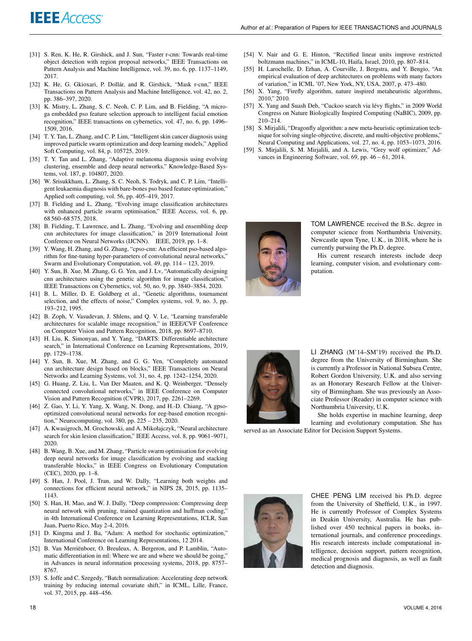- [31] S. Ren, K. He, R. Girshick, and J. Sun, "Faster r-cnn: Towards real-time object detection with region proposal networks," IEEE Transactions on Pattern Analysis and Machine Intelligence, vol. 39, no. 6, pp. 1137–1149, 2017.
- [32] K. He, G. Gkioxari, P. Dollár, and R. Girshick, "Mask r-cnn," IEEE Transactions on Pattern Analysis and Machine Intelligence, vol. 42, no. 2, pp. 386–397, 2020.
- [33] K. Mistry, L. Zhang, S. C. Neoh, C. P. Lim, and B. Fielding, "A microga embedded pso feature selection approach to intelligent facial emotion recognition," IEEE transactions on cybernetics, vol. 47, no. 6, pp. 1496– 1509, 2016.
- [34] T. Y. Tan, L. Zhang, and C. P. Lim, "Intelligent skin cancer diagnosis using improved particle swarm optimization and deep learning models," Applied Soft Computing, vol. 84, p. 105725, 2019.
- [35] T. Y. Tan and L. Zhang, "Adaptive melanoma diagnosis using evolving clustering, ensemble and deep neural networks," Knowledge-Based Systems, vol. 187, p. 104807, 2020.
- [36] W. Srisukkham, L. Zhang, S. C. Neoh, S. Todryk, and C. P. Lim, "Intelligent leukaemia diagnosis with bare-bones pso based feature optimization," Applied soft computing, vol. 56, pp. 405–419, 2017.
- [37] B. Fielding and L. Zhang, "Evolving image classification architectures with enhanced particle swarm optimisation," IEEE Access, vol. 6, pp. 68 560–68 575, 2018.
- [38] B. Fielding, T. Lawrence, and L. Zhang, "Evolving and ensembling deep cnn architectures for image classification," in 2019 International Joint Conference on Neural Networks (IJCNN). IEEE, 2019, pp. 1–8.
- [39] Y. Wang, H. Zhang, and G. Zhang, "cpso-cnn: An efficient pso-based algorithm for fine-tuning hyper-parameters of convolutional neural networks," Swarm and Evolutionary Computation, vol. 49, pp. 114 – 123, 2019.
- [40] Y. Sun, B. Xue, M. Zhang, G. G. Yen, and J. Lv, "Automatically designing cnn architectures using the genetic algorithm for image classification," IEEE Transactions on Cybernetics, vol. 50, no. 9, pp. 3840–3854, 2020.
- [41] B. L. Miller, D. E. Goldberg et al., "Genetic algorithms, tournament selection, and the effects of noise," Complex systems, vol. 9, no. 3, pp. 193–212, 1995.
- [42] B. Zoph, V. Vasudevan, J. Shlens, and Q. V. Le, "Learning transferable architectures for scalable image recognition," in IEEE/CVF Conference on Computer Vision and Pattern Recognition, 2018, pp. 8697–8710.
- [43] H. Liu, K. Simonyan, and Y. Yang, "DARTS: Differentiable architecture search," in International Conference on Learning Representations, 2019, pp. 1729–1738.
- [44] Y. Sun, B. Xue, M. Zhang, and G. G. Yen, "Completely automated cnn architecture design based on blocks," IEEE Transactions on Neural Networks and Learning Systems, vol. 31, no. 4, pp. 1242–1254, 2020.
- [45] G. Huang, Z. Liu, L. Van Der Maaten, and K. Q. Weinberger, "Densely connected convolutional networks," in IEEE Conference on Computer Vision and Pattern Recognition (CVPR), 2017, pp. 2261–2269.
- [46] Z. Gao, Y. Li, Y. Yang, X. Wang, N. Dong, and H.-D. Chiang, "A gpsooptimized convolutional neural networks for eeg-based emotion recognition," Neurocomputing, vol. 380, pp. 225 – 235, 2020.
- [47] A. Kwasigroch, M. Grochowski, and A. Mikołajczyk, "Neural architecture search for skin lesion classification," IEEE Access, vol. 8, pp. 9061–9071, 2020.
- [48] B. Wang, B. Xue, and M. Zhang, "Particle swarm optimisation for evolving deep neural networks for image classification by evolving and stacking transferable blocks," in IEEE Congress on Evolutionary Computation (CEC), 2020, pp. 1–8.
- [49] S. Han, J. Pool, J. Tran, and W. Dally, "Learning both weights and connections for efficient neural network," in NIPS 28, 2015, pp. 1135– 1143.
- [50] S. Han, H. Mao, and W. J. Dally, "Deep compression: Compressing deep neural network with pruning, trained quantization and huffman coding," in 4th International Conference on Learning Representations, ICLR, San Juan, Puerto Rico, May 2-4, 2016.
- [51] D. Kingma and J. Ba, "Adam: A method for stochastic optimization," International Conference on Learning Representations, 12 2014.
- [52] B. Van Merriënboer, O. Breuleux, A. Bergeron, and P. Lamblin, "Automatic differentiation in ml: Where we are and where we should be going," in Advances in neural information processing systems, 2018, pp. 8757– 8767.
- [53] S. Ioffe and C. Szegedy, "Batch normalization: Accelerating deep network training by reducing internal covariate shift," in ICML, Lille, France, vol. 37, 2015, pp. 448–456.
- [54] V. Nair and G. E. Hinton, "Rectified linear units improve restricted boltzmann machines," in ICML-10, Haifa, Israel, 2010, pp. 807–814.
- [55] H. Larochelle, D. Erhan, A. Courville, J. Bergstra, and Y. Bengio, "An empirical evaluation of deep architectures on problems with many factors of variation," in ICML '07, New York, NY, USA, 2007, p. 473–480.
- [56] X. Yang, "Firefly algorithm, nature inspired metaheuristic algorithms, 2010," 2010.
- [57] X. Yang and Suash Deb, "Cuckoo search via lévy flights," in 2009 World Congress on Nature Biologically Inspired Computing (NaBIC), 2009, pp. 210–214.
- [58] S. Mirjalili, "Dragonfly algorithm: a new meta-heuristic optimization technique for solving single-objective, discrete, and multi-objective problems," Neural Computing and Applications, vol. 27, no. 4, pp. 1053–1073, 2016.
- [59] S. Mirjalili, S. M. Mirjalili, and A. Lewis, "Grey wolf optimizer," Advances in Engineering Software, vol. 69, pp. 46 – 61, 2014.



TOM LAWRENCE received the B.Sc. degree in computer science from Northumbria University, Newcastle upon Tyne, U.K., in 2018, where he is currently pursuing the Ph.D. degree.

His current research interests include deep learning, computer vision, and evolutionary computation.



LI ZHANG (M'14–SM'19) received the Ph.D. degree from the University of Birmingham. She is currently a Professor in National Subsea Centre, Robert Gordon University, U.K. and also serving as an Honorary Research Fellow at the University of Birmingham. She was previously an Associate Professor (Reader) in computer science with Northumbria University, U.K.

She holds expertise in machine learning, deep learning and evolutionary computation. She has

served as an Associate Editor for Decision Support Systems.



CHEE PENG LIM received his Ph.D. degree from the University of Sheffield, U.K., in 1997. He is currently Professor of Complex Systems in Deakin University, Australia. He has published over 450 technical papers in books, international journals, and conference proceedings. His research interests include computational intelligence, decision support, pattern recognition, medical prognosis and diagnosis, as well as fault detection and diagnosis.